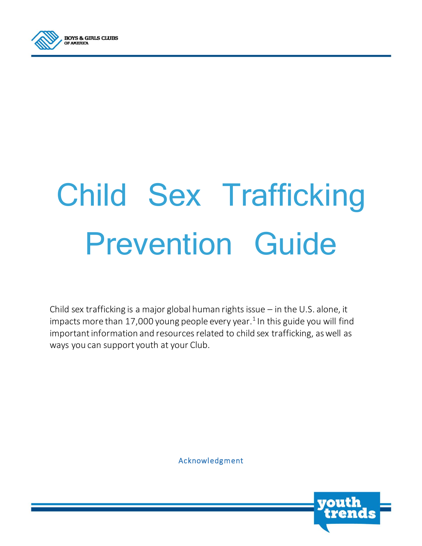

# Child Sex Trafficking Prevention Guide

Child sex trafficking is a major global human rights issue – in the U.S. alone, it impacts more than 17,000 young people every year. $^1$  In this guide you will find important information and resources related to child sex trafficking, as well as ways you can support youth at your Club.

Acknowledgment

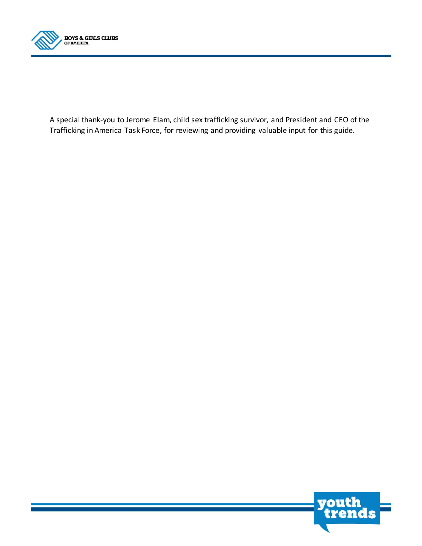

A special thank-you to Jerome Elam, child sex trafficking survivor, and President and CEO of the Trafficking in America Task Force, for reviewing and providing valuable input for this guide.

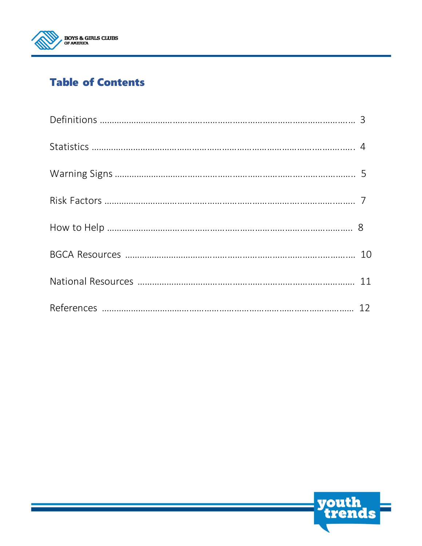

### **Table of Contents**

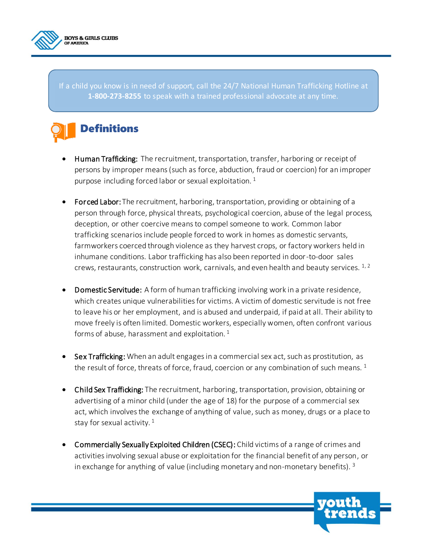

If a child you know is in need of support, call the 24/7 National Human Trafficking Hotline at **1-800-273-8255** to speak with a trained professional advocate at any time.

## **Definitions**

- Human Trafficking: The recruitment, transportation, transfer, harboring or receipt of persons by improper means (such as force, abduction, fraud or coercion) for an improper purpose including forced labor or sexual exploitation.  $1$
- Forced Labor: The recruitment, harboring, transportation, providing or obtaining of a person through force, physical threats, psychological coercion, abuse of the legal process, deception, or other coercive means to compel someone to work. Common labor trafficking scenarios include people forced to work in homes as domestic servants, farmworkers coerced through violence as they harvest crops, or factory workers held in inhumane conditions. Labor trafficking has also been reported in door-to-door sales crews, restaurants, construction work, carnivals, and even health and beauty services.  $1, 2$
- Domestic Servitude: A form of human trafficking involving work in a private residence, which creates unique vulnerabilities for victims. A victim of domestic servitude is not free to leave his or her employment, and is abused and underpaid, if paid at all. Their ability to move freely is often limited. Domestic workers, especially women, often confront various forms of abuse, harassment and exploitation.  $1$
- Sex Trafficking: When an adult engages in a commercial sex act, such as prostitution, as the result of force, threats of force, fraud, coercion or any combination of such means.  $1$
- Child Sex Trafficking: The recruitment, harboring, transportation, provision, obtaining or advertising of a minor child (under the age of 18) for the purpose of a commercial sex act, which involves the exchange of anything of value, such as money, drugs or a place to stay for sexual activity.  $1$
- Commercially Sexually Exploited Children (CSEC): Child victims of a range of crimes and activities involving sexual abuse or exploitation for the financial benefit of any person, or in exchange for anything of value (including monetary and non-monetary benefits).  $3$

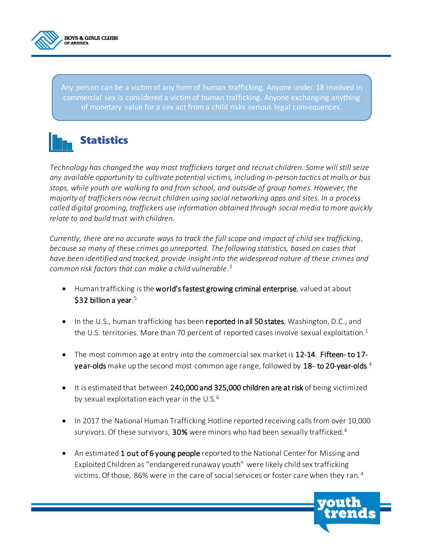

Any person can be a victim of any form of human trafficking. Anyone under 18 involved in commercial sex is considered a victim of human trafficking. Anyone exchanging anything of monetary value for a sex act from a child risks serious legal consequences.



*Technology has changed the way most traffickers target and recruit children. Some will still seize any available opportunity to cultivate potential victims, including in-person tactics at malls or bus stops, while youth are walking to and from school, and outside of group homes. However, the majority of traffickers now recruit children using social networking apps and sites. In a process called digital grooming, traffickers use information obtained through social media to more quickly relate to and build trust with children.* 

*Currently, there are no accurate ways to track the full scope and impact of child sex trafficking, because so many of these crimes go unreported. The following statistics, based on cases that have been identified and tracked, provide insight into the widespread nature of these crimes and common risk factors that can make a child vulnerable. 3*

- Human trafficking is the world's fastest growing criminal enterprise, valued at about  $$$ 32 billion a year. $^5$
- In the U.S., human trafficking has been reported in all 50 states, Washington, D.C., and the U.S. territories. More than 70 percent of reported cases involve sexual exploitation.<sup>1</sup>
- The most common age at entry into the commercial sex market is 12-14. Fifteen-to 17 $y$ ear-olds make up the second most common age range, followed by  $18$ - to 20-year-olds. $^4$
- It is estimated that between 240,000 and 325,000 children are at risk of being victimized by sexual exploitation each year in the U.S. $6$
- In 2017 the National Human Trafficking Hotline reported receiving calls from over 10,000 survivors. Of these survivors, 30% were minors who had been sexually trafficked.<sup>4</sup>
- An estimated 1 out of 6 young people reported to the National Center for Missing and Exploited Children as "endangered runaway youth" were likely child sex trafficking victims. Of those, 86% were in the care of social services or foster care when they ran. <sup>4</sup>

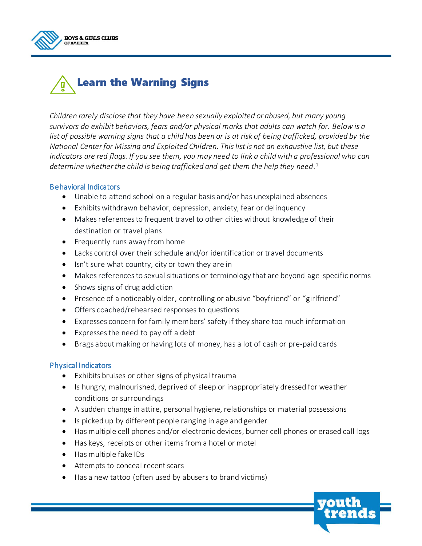

## Learn the Warning Signs

*Children rarely disclose that they have been sexually exploited or abused, but many young survivors do exhibit behaviors, fears and/or physical marks that adults can watch for. Below is a list of possible warning signs that a child has been or is at risk of being trafficked, provided by the National Center for Missing and Exploited Children. This list is not an exhaustive list, but these indicators are red flags. If you see them, you may need to link a child with a professional who can determine whether the child is being trafficked and get them the help they need.* 1

#### Behavioral Indicators

- Unable to attend school on a regular basis and/or has unexplained absences
- Exhibits withdrawn behavior, depression, anxiety, fear or delinquency
- Makes references to frequent travel to other cities without knowledge of their destination or travel plans
- Frequently runs away from home
- Lacks control over their schedule and/or identification or travel documents
- Isn't sure what country, city or town they are in
- Makes references to sexual situations or terminology that are beyond age-specific norms
- Shows signs of drug addiction
- Presence of a noticeably older, controlling or abusive "boyfriend" or "girlfriend"
- Offers coached/rehearsed responses to questions
- Expresses concern for family members' safety if they share too much information
- Expresses the need to pay off a debt
- Brags about making or having lots of money, has a lot of cash or pre-paid cards

#### Physical Indicators

- Exhibits bruises or other signs of physical trauma
- Is hungry, malnourished, deprived of sleep or inappropriately dressed for weather conditions or surroundings
- A sudden change in attire, personal hygiene, relationships or material possessions
- Is picked up by different people ranging in age and gender
- Has multiple cell phones and/or electronic devices, burner cell phones or erased call logs
- Has keys, receipts or other items from a hotel or motel
- Has multiple fake IDs
- Attempts to conceal recent scars
- Has a new tattoo (often used by abusers to brand victims)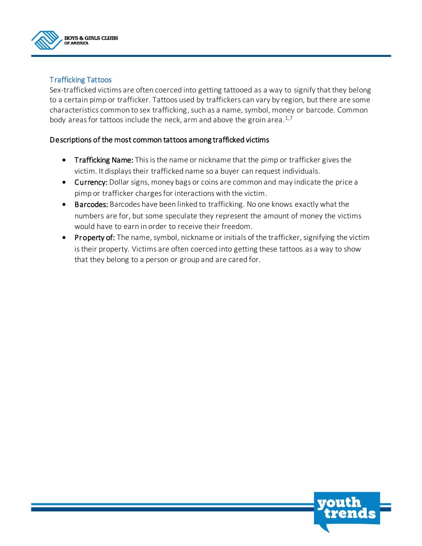

#### Trafficking Tattoos

Sex-trafficked victims are often coerced into getting tattooed as a way to signify that they belong to a certain pimp or trafficker. Tattoos used by traffickers can vary by region, but there are some characteristics common to sex trafficking, such as a name, symbol, money or barcode. Common body areas for tattoos include the neck, arm and above the groin area. $1,7$ 

#### Descriptions of the most common tattoos among trafficked victims

- **Trafficking Name:** This is the name or nickname that the pimp or trafficker gives the victim. It displaystheir trafficked name so a buyer can request individuals.
- Currency: Dollar signs, money bags or coins are common and may indicate the price a pimp or trafficker charges for interactions with the victim.
- **Barcodes:** Barcodes have been linked to trafficking. No one knows exactly what the numbers are for, but some speculate they represent the amount of money the victims would have to earn in order to receive their freedom.
- Property of: The name, symbol, nickname or initials of the trafficker, signifying the victim is their property. Victims are often coerced into getting these tattoos as a way to show that they belong to a person or group and are cared for.

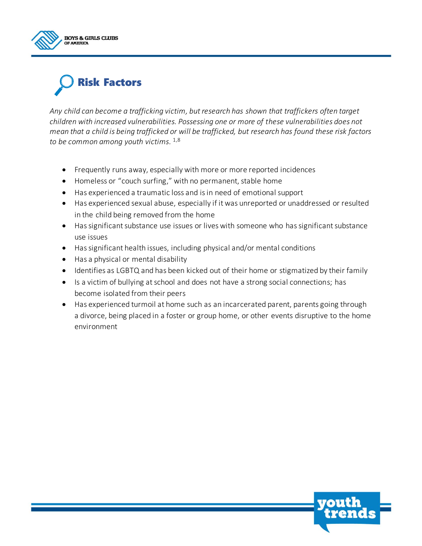



*Any child can become a trafficking victim, but research has shown that traffickers often target children with increased vulnerabilities. Possessing one or more of these vulnerabilities does not mean that a child is being trafficked or will be trafficked, but research has found these risk factors to be common among youth victims.* 1,8

- Frequently runs away, especially with more or more reported incidences
- Homeless or "couch surfing," with no permanent, stable home
- Has experienced a traumatic loss and is in need of emotional support
- Has experienced sexual abuse, especially if it was unreported or unaddressed or resulted in the child being removed from the home
- Has significant substance use issues or lives with someone who has significant substance use issues
- Has significant health issues, including physical and/or mental conditions
- Has a physical or mental disability
- Identifies as LGBTQ and has been kicked out of their home or stigmatized by their family
- Is a victim of bullying at school and does not have a strong social connections; has become isolated from their peers
- Has experienced turmoil at home such as an incarcerated parent, parents going through a divorce, being placed in a foster or group home, or other events disruptive to the home environment

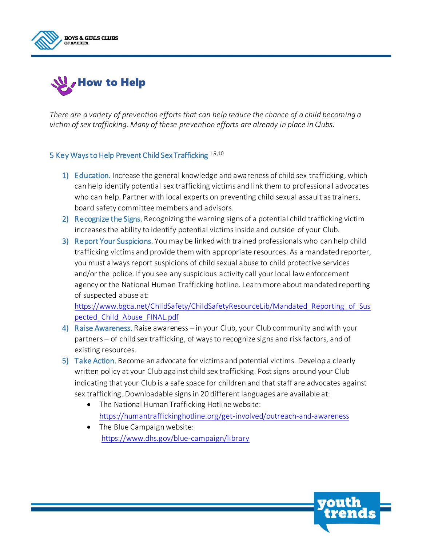



*There are a variety of prevention efforts that can help reduce the chance of a child becoming a victim of sex trafficking. Many of these prevention efforts are already in place in Clubs.*

#### 5 Key Ways to Help Prevent Child Sex Trafficking 1,9,10

- 1) Education. Increase the general knowledge and awareness of child sex trafficking, which can help identify potential sex trafficking victims and link them to professional advocates who can help. Partner with local experts on preventing child sexual assault as trainers, board safety committee members and advisors.
- 2) Recognize the Signs. Recognizing the warning signs of a potential child trafficking victim increases the ability to identify potential victims inside and outside of your Club.
- 3) Report Your Suspicions. You may be linked with trained professionals who can help child trafficking victims and provide them with appropriate resources. As a mandated reporter, you must always report suspicions of child sexual abuse to child protective services and/or the police. If you see any suspicious activity call your local law enforcement agency or the National Human Trafficking hotline. Learn more about mandated reporting of suspected abuse at:

https://www.bgca.net/ChildSafety/ChildSafetyResourceLib/Mandated Reporting of Sus [pected\\_Child\\_Abuse\\_FINAL.pdf](https://www.bgca.net/ChildSafety/ChildSafetyResourceLib/Mandated_Reporting_of_Suspected_Child_Abuse_FINAL.pdf) 

- 4) Raise Awareness. Raise awareness in your Club, your Club community and with your partners – of child sex trafficking, of ways to recognize signs and risk factors, and of existing resources.
- 5) Take Action. Become an advocate for victims and potential victims. Develop a clearly written policy at your Club against child sex trafficking. Post signs around your Club indicating that your Club is a safe space for children and that staff are advocates against sex trafficking. Downloadable signs in 20 different languages are available at:
	- The National Human Trafficking Hotline website: <https://humantraffickinghotline.org/get-involved/outreach-and-awareness>
	- The Blue Campaign website: <https://www.dhs.gov/blue-campaign/library>

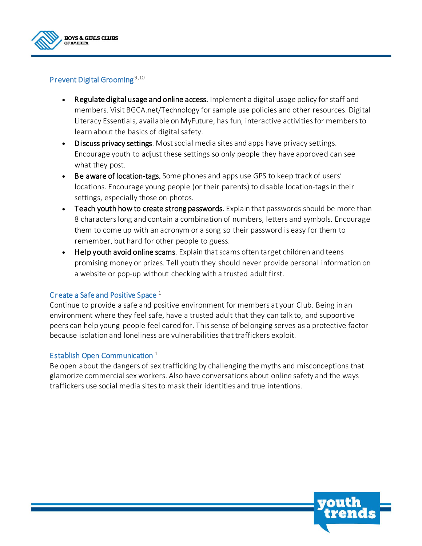

#### Prevent Digital Grooming<sup>9,10</sup>

- Regulate digital usage and online access. Implement a digital usage policy for staff and members. Visit BGCA.net/Technology for sample use policies and other resources. Digital Literacy Essentials, available on MyFuture, has fun, interactive activities for members to learn about the basics of digital safety.
- Discuss privacy settings. Most social media sites and apps have privacy settings. Encourage youth to adjust these settings so only people they have approved can see what they post.
- Be aware of location-tags. Some phones and apps use GPS to keep track of users' locations. Encourage young people (or their parents) to disable location-tags in their settings, especially those on photos.
- Teach youth how to create strong passwords. Explain that passwords should be more than 8 characters long and contain a combination of numbers, letters and symbols. Encourage them to come up with an acronym or a song so their password is easy for them to remember, but hard for other people to guess.
- Help youth avoid online scams. Explain that scams often target children and teens promising money or prizes. Tell youth they should never provide personal information on a website or pop-up without checking with a trusted adult first.

#### Create a Safe and Positive Space <sup>1</sup>

Continue to provide a safe and positive environment for members at your Club. Being in an environment where they feel safe, have a trusted adult that they can talk to, and supportive peers can help young people feel cared for. This sense of belonging serves as a protective factor because isolation and loneliness are vulnerabilities that traffickers exploit.

#### Establish Open Communication<sup>1</sup>

Be open about the dangers of sex trafficking by challenging the myths and misconceptions that glamorize commercial sex workers. Also have conversations about online safety and the ways traffickers use social media sites to mask their identities and true intentions.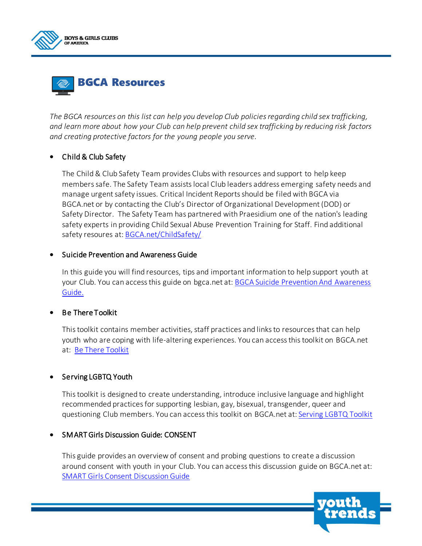



*The BGCA resources on this list can help you develop Club policies regarding child sex trafficking, and learn more about how your Club can help prevent child sex trafficking by reducing risk factors and creating protective factors for the young people you serve.*

#### • Child & Club Safety

The Child & Club Safety Team provides Clubs with resources and support to help keep members safe. The Safety Team assists local Club leaders address emerging safety needs and manage urgent safety issues. Critical Incident Reports should be filed with BGCA via BGCA.net or by contacting the Club's Director of Organizational Development (DOD) or Safety Director. The Safety Team has partnered with Praesidium one of the nation's leading safety experts in providing Child Sexual Abuse Prevention Training for Staff. Find additional safety resoures at: [BGCA.net/ChildSafety/](https://www.bgca.net/ChildSafety/)

#### Suicide Prevention and Awareness Guide

In this guide you will find resources, tips and important information to help support youth at your Club. You can access this guide on bgca.net at[: BGCA Suicide Prevention And Awareness](https://www.bgca.net/Programs/ProgramDocuments/New!%20Suicide%20Prevention%20and%20Awareness%20Guide.pdf#search=Suicide%20Prevention%20Guide)  [Guide.](https://www.bgca.net/Programs/ProgramDocuments/New!%20Suicide%20Prevention%20and%20Awareness%20Guide.pdf#search=Suicide%20Prevention%20Guide)

#### Be There Toolkit

This toolkit contains member activities, staff practices and links to resources that can help youth who are coping with life-altering experiences. You can access this toolkit on BGCA.net at: [Be There Toolkit](https://www.bgca.net/Programs/ProgramDocuments/Be_There_Toolkit.pdf#search=Be%20There%20Tool%20Kit)

#### • Serving LGBTQ Youth

This toolkit is designed to create understanding, introduce inclusive language and highlight recommended practices for supporting lesbian, gay, bisexual, transgender, queer and questioning Club members. You can access this toolkit on BGCA.net at[: Serving LGBTQ Toolkit](https://www.bgca.net/Programs/ProgramDocuments/Serving_LGBTQ_Youth_Toolkit.pdf#search=LGBTQ%20Toolkit)

#### SMART Girls Discussion Guide: CONSENT

This guide provides an overview of consent and probing questions to create a discussion around consent with youth in your Club. You can access this discussion guide on BGCA.net at: [SMART Girls Consent Discussion Guide](https://www.bgca.net/Programs/ProgramDocuments/SMART%20Girls%20Discussion%20Guides%20CONSENT.pdf#search=Smart%20girls%20consent)

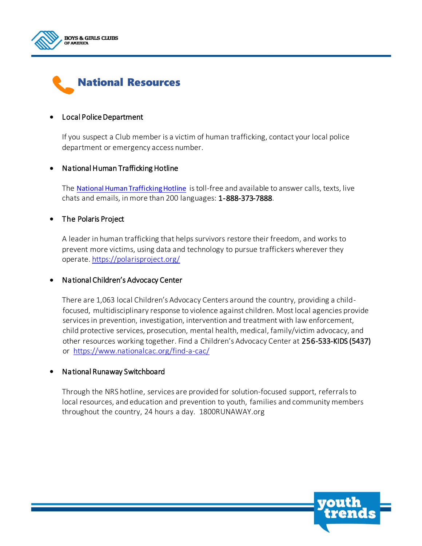



#### Local Police Department

If you suspect a Club member is a victim of human trafficking, contact your local police department or emergency access number.

#### National Human Trafficking Hotline

The [National Human Trafficking Hotline](https://humantraffickinghotline.org/) is toll-free and available to answer calls, texts, live chats and emails, in more than 200 languages: 1-888-373-7888.

#### • The Polaris Project

A leader in human trafficking that helps survivors restore their freedom, and works to prevent more victims, using data and technology to pursue traffickers wherever they operate. <https://polarisproject.org/>

#### National Children's Advocacy Center

There are 1,063 local Children's Advocacy Centers around the country, providing a child focused, multidisciplinary response to violence against children. Most local agencies provide services in prevention, investigation, intervention and treatment with law enforcement, child protective services, prosecution, mental health, medical, family/victim advocacy, and other resources working together. Find a Children's Advocacy Center at 256-533-KIDS (5437) or <https://www.nationalcac.org/find-a-cac/>

#### National Runaway Switchboard

Through the NRS hotline, services are provided for solution-focused support, referrals to local resources, and education and prevention to youth, families and community members throughout the country, 24 hours a day. [1800RUNAWAY.org](https://www.1800runaway.org/)

**yout**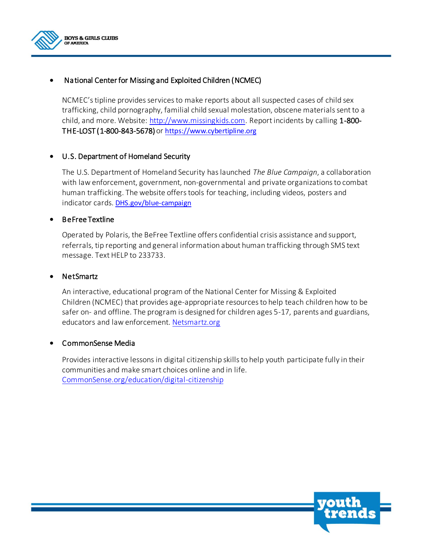

#### National Center for Missing and Exploited Children (NCMEC)

NCMEC's tipline provides services to make reports about all suspected cases of child sex trafficking, child pornography, familial child sexual molestation, obscene materials sent to a child, and more. Website: [http://www.missingkids.com.](http://www.missingkids.com/) Report incidents by calling 1-800- THE-LOST (1-800-843-5678) or [https://www.cybertipline.org](https://www.cybertipline.org/)

#### U.S. Department of Homeland Security

The U.S. Department of Homeland Security has launched *The Blue Campaign*, a collaboration with law enforcement, government, non-governmental and private organizations to combat human trafficking. The website offers tools for teaching, including videos, posters and indicator cards. [DHS.gov/blue-campaign](https://www.dhs.gov/blue-campaign)

#### BeFree Textline

Operated by Polaris, the BeFree Textline offers confidential crisis assistance and support, referrals, tip reporting and general information about human trafficking through SMS text message. Text HELP to 233733.

#### NetSmartz

An interactive, educational program of the National Center for Missing & Exploited Children (NCMEC) that provides age-appropriate resources to help teach children how to be safer on- and offline. The program is designed for children ages 5-17, parents and guardians, educators and law enforcement[. Netsmartz.org](https://www.netsmartz.org/)

#### CommonSense Media

Provides interactive lessons in digital citizenship skills to help youth participate fully in their communities and make smart choices online and in life. [CommonSense.org/education/digital-citizenship](https://www.commonsense.org/education/digital-citizenship)